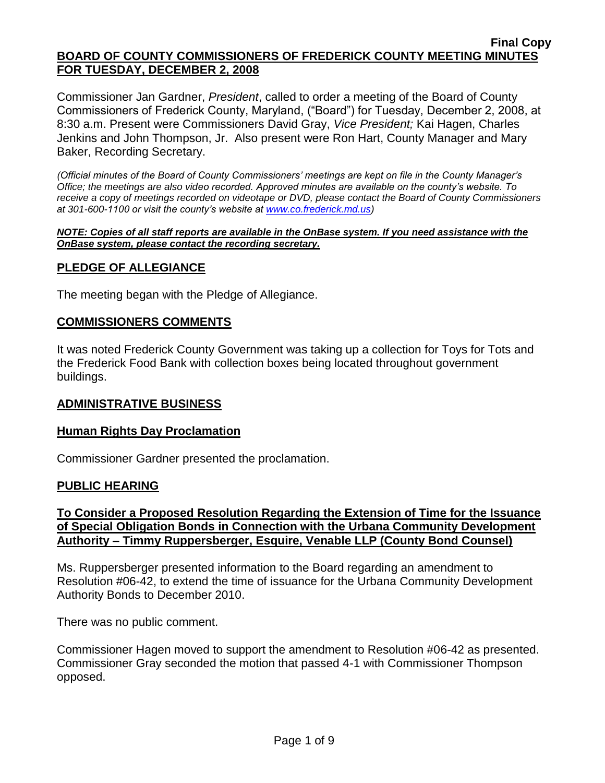Commissioner Jan Gardner, *President*, called to order a meeting of the Board of County Commissioners of Frederick County, Maryland, ("Board") for Tuesday, December 2, 2008, at 8:30 a.m. Present were Commissioners David Gray, *Vice President;* Kai Hagen, Charles Jenkins and John Thompson, Jr. Also present were Ron Hart, County Manager and Mary Baker, Recording Secretary.

*(Official minutes of the Board of County Commissioners' meetings are kept on file in the County Manager's Office; the meetings are also video recorded. Approved minutes are available on the county's website. To receive a copy of meetings recorded on videotape or DVD, please contact the Board of County Commissioners at 301-600-1100 or visit the county's website at [www.co.frederick.md.us\)](http://www.co.frederick.md.us/)*

#### *NOTE: Copies of all staff reports are available in the OnBase system. If you need assistance with the OnBase system, please contact the recording secretary.*

# **PLEDGE OF ALLEGIANCE**

The meeting began with the Pledge of Allegiance.

# **COMMISSIONERS COMMENTS**

It was noted Frederick County Government was taking up a collection for Toys for Tots and the Frederick Food Bank with collection boxes being located throughout government buildings.

# **ADMINISTRATIVE BUSINESS**

# **Human Rights Day Proclamation**

Commissioner Gardner presented the proclamation.

# **PUBLIC HEARING**

# **To Consider a Proposed Resolution Regarding the Extension of Time for the Issuance of Special Obligation Bonds in Connection with the Urbana Community Development Authority – Timmy Ruppersberger, Esquire, Venable LLP (County Bond Counsel)**

Ms. Ruppersberger presented information to the Board regarding an amendment to Resolution #06-42, to extend the time of issuance for the Urbana Community Development Authority Bonds to December 2010.

There was no public comment.

Commissioner Hagen moved to support the amendment to Resolution #06-42 as presented. Commissioner Gray seconded the motion that passed 4-1 with Commissioner Thompson opposed.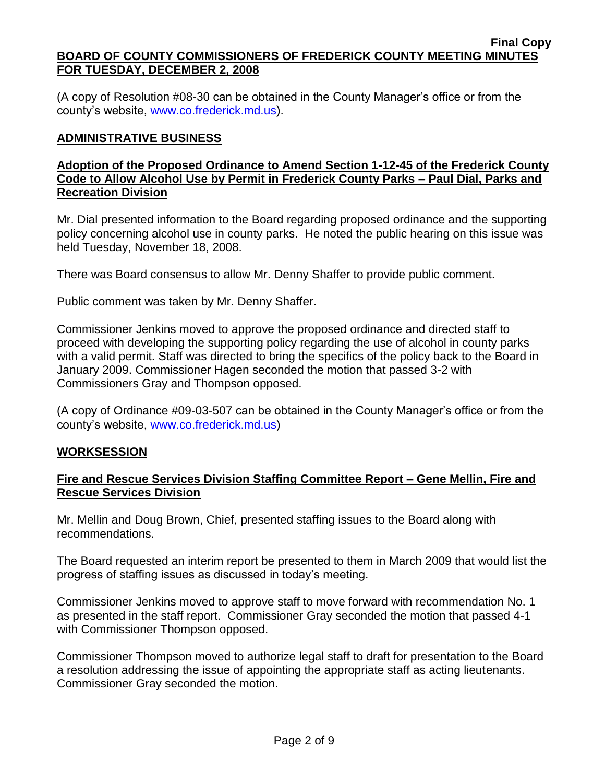(A copy of Resolution #08-30 can be obtained in the County Manager's office or from the county's website, [www.co.frederick.md.us\)](www.co.frederick.md.us).

# **ADMINISTRATIVE BUSINESS**

# **Adoption of the Proposed Ordinance to Amend Section 1-12-45 of the Frederick County Code to Allow Alcohol Use by Permit in Frederick County Parks – Paul Dial, Parks and Recreation Division**

Mr. Dial presented information to the Board regarding proposed ordinance and the supporting policy concerning alcohol use in county parks. He noted the public hearing on this issue was held Tuesday, November 18, 2008.

There was Board consensus to allow Mr. Denny Shaffer to provide public comment.

Public comment was taken by Mr. Denny Shaffer.

Commissioner Jenkins moved to approve the proposed ordinance and directed staff to proceed with developing the supporting policy regarding the use of alcohol in county parks with a valid permit. Staff was directed to bring the specifics of the policy back to the Board in January 2009. Commissioner Hagen seconded the motion that passed 3-2 with Commissioners Gray and Thompson opposed.

(A copy of Ordinance #09-03-507 can be obtained in the County Manager's office or from the county's website, [www.co.frederick.md.us\)](www.co.frederick.md.us)

# **WORKSESSION**

# **Fire and Rescue Services Division Staffing Committee Report – Gene Mellin, Fire and Rescue Services Division**

Mr. Mellin and Doug Brown, Chief, presented staffing issues to the Board along with recommendations.

The Board requested an interim report be presented to them in March 2009 that would list the progress of staffing issues as discussed in today's meeting.

Commissioner Jenkins moved to approve staff to move forward with recommendation No. 1 as presented in the staff report. Commissioner Gray seconded the motion that passed 4-1 with Commissioner Thompson opposed.

Commissioner Thompson moved to authorize legal staff to draft for presentation to the Board a resolution addressing the issue of appointing the appropriate staff as acting lieutenants. Commissioner Gray seconded the motion.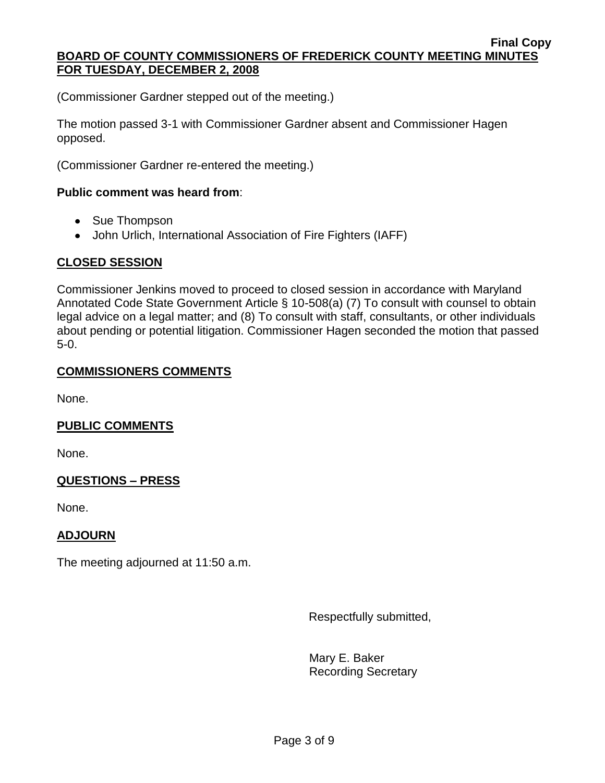(Commissioner Gardner stepped out of the meeting.)

The motion passed 3-1 with Commissioner Gardner absent and Commissioner Hagen opposed.

(Commissioner Gardner re-entered the meeting.)

# **Public comment was heard from**:

- Sue Thompson
- John Urlich, International Association of Fire Fighters (IAFF)

# **CLOSED SESSION**

Commissioner Jenkins moved to proceed to closed session in accordance with Maryland Annotated Code State Government Article § 10-508(a) (7) To consult with counsel to obtain legal advice on a legal matter; and (8) To consult with staff, consultants, or other individuals about pending or potential litigation. Commissioner Hagen seconded the motion that passed 5-0.

# **COMMISSIONERS COMMENTS**

None.

# **PUBLIC COMMENTS**

None.

# **QUESTIONS – PRESS**

None.

# **ADJOURN**

The meeting adjourned at 11:50 a.m.

Respectfully submitted,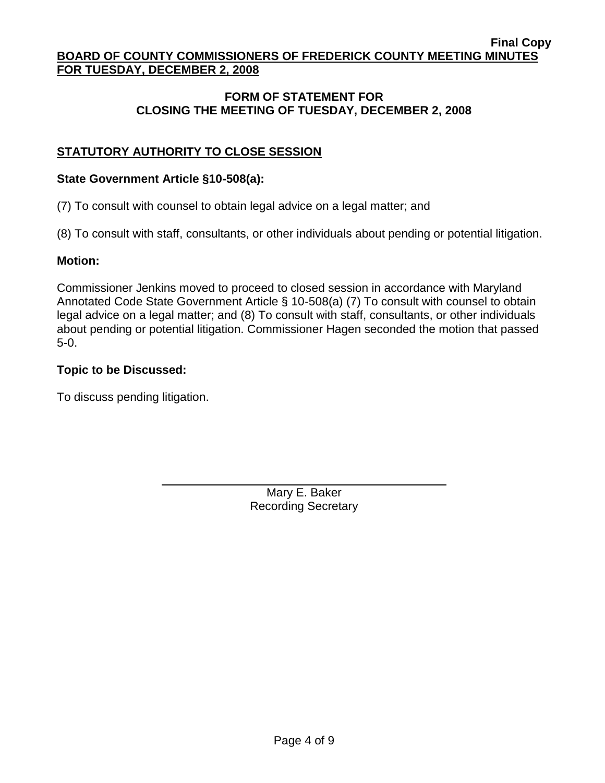# **FORM OF STATEMENT FOR CLOSING THE MEETING OF TUESDAY, DECEMBER 2, 2008**

# **STATUTORY AUTHORITY TO CLOSE SESSION**

# **State Government Article §10-508(a):**

(7) To consult with counsel to obtain legal advice on a legal matter; and

(8) To consult with staff, consultants, or other individuals about pending or potential litigation.

# **Motion:**

Commissioner Jenkins moved to proceed to closed session in accordance with Maryland Annotated Code State Government Article § 10-508(a) (7) To consult with counsel to obtain legal advice on a legal matter; and (8) To consult with staff, consultants, or other individuals about pending or potential litigation. Commissioner Hagen seconded the motion that passed 5-0.

# **Topic to be Discussed:**

To discuss pending litigation.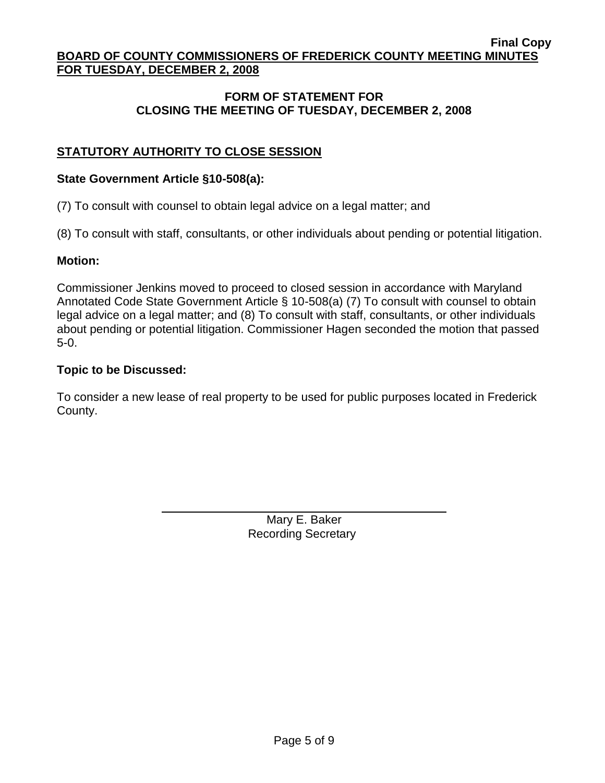# **FORM OF STATEMENT FOR CLOSING THE MEETING OF TUESDAY, DECEMBER 2, 2008**

# **STATUTORY AUTHORITY TO CLOSE SESSION**

### **State Government Article §10-508(a):**

(7) To consult with counsel to obtain legal advice on a legal matter; and

(8) To consult with staff, consultants, or other individuals about pending or potential litigation.

### **Motion:**

Commissioner Jenkins moved to proceed to closed session in accordance with Maryland Annotated Code State Government Article § 10-508(a) (7) To consult with counsel to obtain legal advice on a legal matter; and (8) To consult with staff, consultants, or other individuals about pending or potential litigation. Commissioner Hagen seconded the motion that passed 5-0.

### **Topic to be Discussed:**

To consider a new lease of real property to be used for public purposes located in Frederick County.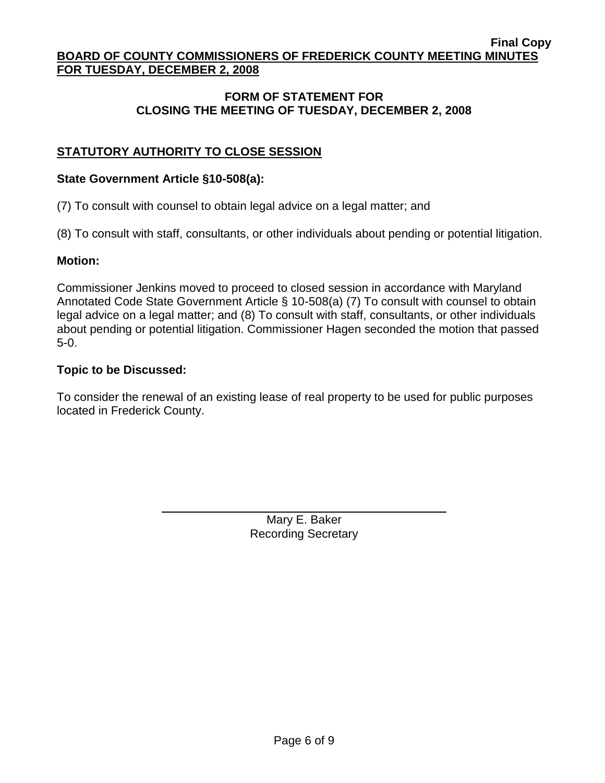# **FORM OF STATEMENT FOR CLOSING THE MEETING OF TUESDAY, DECEMBER 2, 2008**

# **STATUTORY AUTHORITY TO CLOSE SESSION**

### **State Government Article §10-508(a):**

(7) To consult with counsel to obtain legal advice on a legal matter; and

(8) To consult with staff, consultants, or other individuals about pending or potential litigation.

### **Motion:**

Commissioner Jenkins moved to proceed to closed session in accordance with Maryland Annotated Code State Government Article § 10-508(a) (7) To consult with counsel to obtain legal advice on a legal matter; and (8) To consult with staff, consultants, or other individuals about pending or potential litigation. Commissioner Hagen seconded the motion that passed 5-0.

### **Topic to be Discussed:**

To consider the renewal of an existing lease of real property to be used for public purposes located in Frederick County.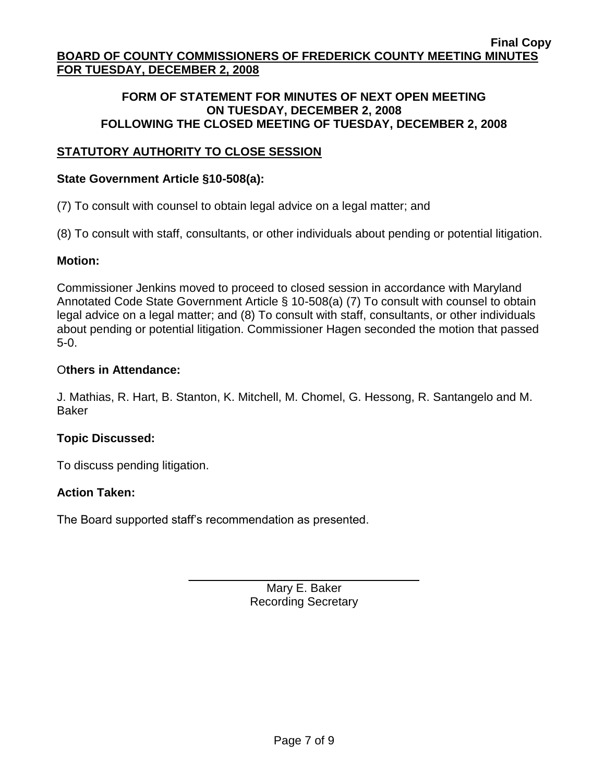## **FORM OF STATEMENT FOR MINUTES OF NEXT OPEN MEETING ON TUESDAY, DECEMBER 2, 2008 FOLLOWING THE CLOSED MEETING OF TUESDAY, DECEMBER 2, 2008**

# **STATUTORY AUTHORITY TO CLOSE SESSION**

## **State Government Article §10-508(a):**

(7) To consult with counsel to obtain legal advice on a legal matter; and

(8) To consult with staff, consultants, or other individuals about pending or potential litigation.

### **Motion:**

Commissioner Jenkins moved to proceed to closed session in accordance with Maryland Annotated Code State Government Article § 10-508(a) (7) To consult with counsel to obtain legal advice on a legal matter; and (8) To consult with staff, consultants, or other individuals about pending or potential litigation. Commissioner Hagen seconded the motion that passed 5-0.

### O**thers in Attendance:**

J. Mathias, R. Hart, B. Stanton, K. Mitchell, M. Chomel, G. Hessong, R. Santangelo and M. Baker

# **Topic Discussed:**

To discuss pending litigation.

### **Action Taken:**

The Board supported staff's recommendation as presented.

Mary E. Baker Recording Secretary

\_\_\_\_\_\_\_\_\_\_\_\_\_\_\_\_\_\_\_\_\_\_\_\_\_\_\_\_\_\_\_\_\_\_\_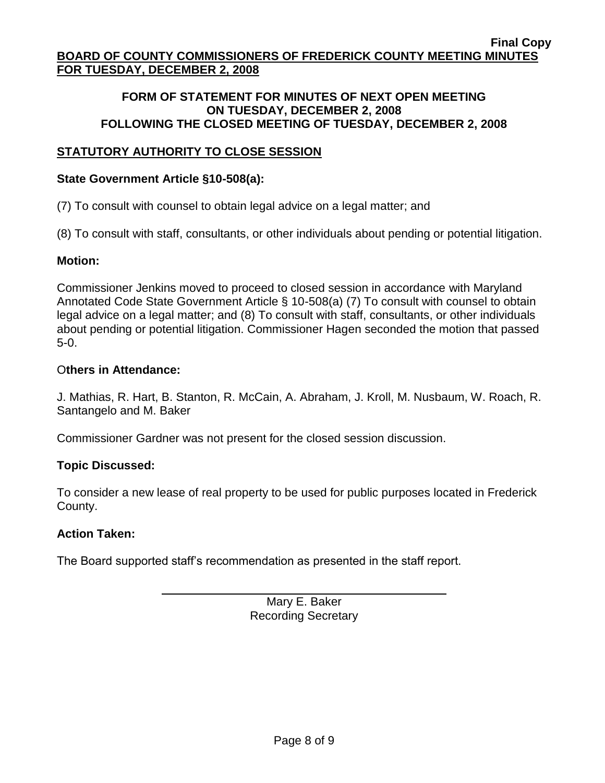## **FORM OF STATEMENT FOR MINUTES OF NEXT OPEN MEETING ON TUESDAY, DECEMBER 2, 2008 FOLLOWING THE CLOSED MEETING OF TUESDAY, DECEMBER 2, 2008**

# **STATUTORY AUTHORITY TO CLOSE SESSION**

# **State Government Article §10-508(a):**

(7) To consult with counsel to obtain legal advice on a legal matter; and

(8) To consult with staff, consultants, or other individuals about pending or potential litigation.

### **Motion:**

Commissioner Jenkins moved to proceed to closed session in accordance with Maryland Annotated Code State Government Article § 10-508(a) (7) To consult with counsel to obtain legal advice on a legal matter; and (8) To consult with staff, consultants, or other individuals about pending or potential litigation. Commissioner Hagen seconded the motion that passed 5-0.

### O**thers in Attendance:**

J. Mathias, R. Hart, B. Stanton, R. McCain, A. Abraham, J. Kroll, M. Nusbaum, W. Roach, R. Santangelo and M. Baker

Commissioner Gardner was not present for the closed session discussion.

# **Topic Discussed:**

To consider a new lease of real property to be used for public purposes located in Frederick County.

# **Action Taken:**

The Board supported staff's recommendation as presented in the staff report.